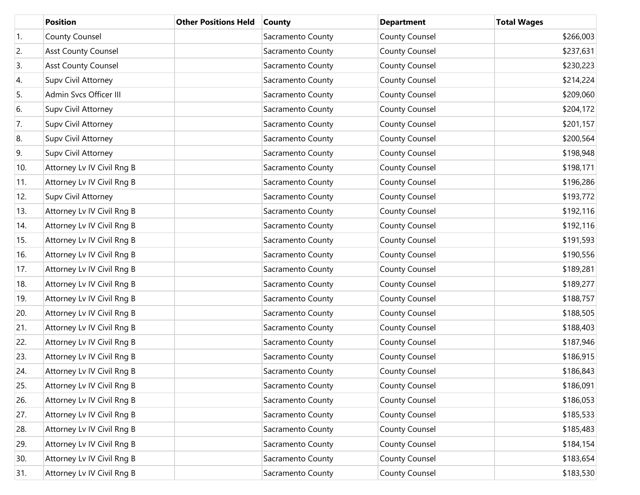|                  | <b>Position</b>            | <b>Other Positions Held</b> | <b>County</b>     | <b>Department</b>     | <b>Total Wages</b> |
|------------------|----------------------------|-----------------------------|-------------------|-----------------------|--------------------|
| $\overline{1}$ . | <b>County Counsel</b>      |                             | Sacramento County | County Counsel        | \$266,003          |
| 2.               | <b>Asst County Counsel</b> |                             | Sacramento County | County Counsel        | \$237,631          |
| 3.               | <b>Asst County Counsel</b> |                             | Sacramento County | County Counsel        | \$230,223          |
| 4.               | Supv Civil Attorney        |                             | Sacramento County | County Counsel        | \$214,224          |
| 5.               | Admin Svcs Officer III     |                             | Sacramento County | County Counsel        | \$209,060          |
| 6.               | Supv Civil Attorney        |                             | Sacramento County | County Counsel        | \$204,172          |
| 7.               | Supv Civil Attorney        |                             | Sacramento County | County Counsel        | \$201,157          |
| 8.               | Supv Civil Attorney        |                             | Sacramento County | County Counsel        | \$200,564          |
| 9.               | Supv Civil Attorney        |                             | Sacramento County | County Counsel        | \$198,948          |
| 10.              | Attorney Lv IV Civil Rng B |                             | Sacramento County | County Counsel        | \$198,171          |
| 11.              | Attorney Lv IV Civil Rng B |                             | Sacramento County | County Counsel        | \$196,286          |
| 12.              | Supv Civil Attorney        |                             | Sacramento County | County Counsel        | \$193,772          |
| 13.              | Attorney Lv IV Civil Rng B |                             | Sacramento County | County Counsel        | \$192,116          |
| 14.              | Attorney Lv IV Civil Rng B |                             | Sacramento County | County Counsel        | \$192,116          |
| 15.              | Attorney Lv IV Civil Rng B |                             | Sacramento County | County Counsel        | \$191,593          |
| 16.              | Attorney Lv IV Civil Rng B |                             | Sacramento County | County Counsel        | \$190,556          |
| 17.              | Attorney Lv IV Civil Rng B |                             | Sacramento County | County Counsel        | \$189,281          |
| 18.              | Attorney Lv IV Civil Rng B |                             | Sacramento County | County Counsel        | \$189,277          |
| 19.              | Attorney Lv IV Civil Rng B |                             | Sacramento County | County Counsel        | \$188,757          |
| 20.              | Attorney Lv IV Civil Rng B |                             | Sacramento County | <b>County Counsel</b> | \$188,505          |
| 21.              | Attorney Lv IV Civil Rng B |                             | Sacramento County | County Counsel        | \$188,403          |
| 22.              | Attorney Lv IV Civil Rng B |                             | Sacramento County | County Counsel        | \$187,946          |
| 23.              | Attorney Lv IV Civil Rng B |                             | Sacramento County | County Counsel        | \$186,915          |
| 24.              | Attorney Lv IV Civil Rng B |                             | Sacramento County | <b>County Counsel</b> | \$186,843          |
| 25.              | Attorney Lv IV Civil Rng B |                             | Sacramento County | <b>County Counsel</b> | \$186,091          |
| 26.              | Attorney Lv IV Civil Rng B |                             | Sacramento County | <b>County Counsel</b> | \$186,053          |
| 27.              | Attorney Lv IV Civil Rng B |                             | Sacramento County | County Counsel        | \$185,533          |
| 28.              | Attorney Lv IV Civil Rng B |                             | Sacramento County | <b>County Counsel</b> | \$185,483          |
| 29.              | Attorney Lv IV Civil Rng B |                             | Sacramento County | County Counsel        | \$184,154          |
| 30.              | Attorney Lv IV Civil Rng B |                             | Sacramento County | <b>County Counsel</b> | \$183,654          |
| 31.              | Attorney Lv IV Civil Rng B |                             | Sacramento County | <b>County Counsel</b> | \$183,530          |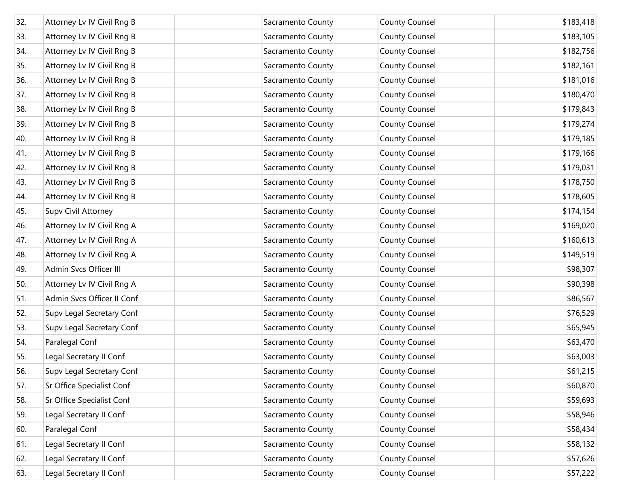| 32. | Attorney Lv IV Civil Rng B | Sacramento County | <b>County Counsel</b> | \$183,418 |
|-----|----------------------------|-------------------|-----------------------|-----------|
| 33. | Attorney Lv IV Civil Rng B | Sacramento County | <b>County Counsel</b> | \$183,105 |
| 34. | Attorney Lv IV Civil Rng B | Sacramento County | <b>County Counsel</b> | \$182,756 |
| 35. | Attorney Lv IV Civil Rng B | Sacramento County | <b>County Counsel</b> | \$182,161 |
| 36. | Attorney Lv IV Civil Rng B | Sacramento County | <b>County Counsel</b> | \$181,016 |
| 37. | Attorney Lv IV Civil Rng B | Sacramento County | <b>County Counsel</b> | \$180,470 |
| 38. | Attorney Lv IV Civil Rng B | Sacramento County | County Counsel        | \$179,843 |
| 39. | Attorney Lv IV Civil Rng B | Sacramento County | <b>County Counsel</b> | \$179,274 |
| 40. | Attorney Lv IV Civil Rng B | Sacramento County | County Counsel        | \$179,185 |
| 41. | Attorney Lv IV Civil Rng B | Sacramento County | <b>County Counsel</b> | \$179,166 |
| 42. | Attorney Lv IV Civil Rng B | Sacramento County | <b>County Counsel</b> | \$179,031 |
| 43. | Attorney Lv IV Civil Rng B | Sacramento County | <b>County Counsel</b> | \$178,750 |
| 44. | Attorney Lv IV Civil Rng B | Sacramento County | County Counsel        | \$178,605 |
| 45. | Supv Civil Attorney        | Sacramento County | <b>County Counsel</b> | \$174,154 |
| 46. | Attorney Lv IV Civil Rng A | Sacramento County | County Counsel        | \$169,020 |
| 47. | Attorney Lv IV Civil Rng A | Sacramento County | <b>County Counsel</b> | \$160,613 |
| 48. | Attorney Lv IV Civil Rng A | Sacramento County | <b>County Counsel</b> | \$149,519 |
| 49. | Admin Svcs Officer III     | Sacramento County | <b>County Counsel</b> | \$98,307  |
| 50. | Attorney Lv IV Civil Rng A | Sacramento County | County Counsel        | \$90,398  |
| 51. | Admin Svcs Officer II Conf | Sacramento County | <b>County Counsel</b> | \$86,567  |
| 52. | Supv Legal Secretary Conf  | Sacramento County | County Counsel        | \$76,529  |
| 53. | Supv Legal Secretary Conf  | Sacramento County | <b>County Counsel</b> | \$65,945  |
| 54. | Paralegal Conf             | Sacramento County | <b>County Counsel</b> | \$63,470  |
| 55. | Legal Secretary II Conf    | Sacramento County | <b>County Counsel</b> | \$63,003  |
| 56. | Supv Legal Secretary Conf  | Sacramento County | <b>County Counsel</b> | \$61,215  |
| 57. | Sr Office Specialist Conf  | Sacramento County | <b>County Counsel</b> | \$60,870  |
| 58. | Sr Office Specialist Conf  | Sacramento County | <b>County Counsel</b> | \$59,693  |
| 59. | Legal Secretary II Conf    | Sacramento County | <b>County Counsel</b> | \$58,946  |
| 60. | Paralegal Conf             | Sacramento County | <b>County Counsel</b> | \$58,434  |
| 61. | Legal Secretary II Conf    | Sacramento County | County Counsel        | \$58,132  |
| 62. | Legal Secretary II Conf    | Sacramento County | <b>County Counsel</b> | \$57,626  |
| 63. | Legal Secretary II Conf    | Sacramento County | County Counsel        | \$57,222  |